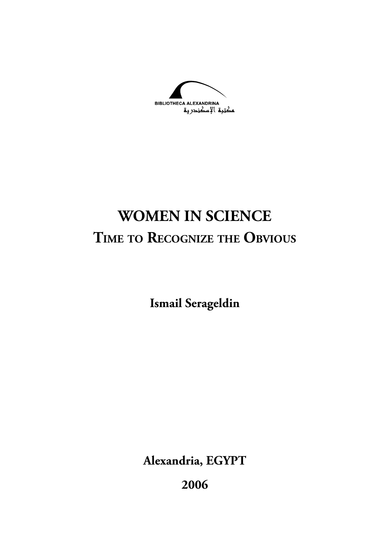**BIBLIOTHECA ALEXANDRINA** مصحبة الإسكندرية

# **WOMEN IN SCIENCE TIME TO RECOGNIZE THE OBVIOUS**

**Ismail Serageldin**

**Alexandria, EGYPT**

**2006**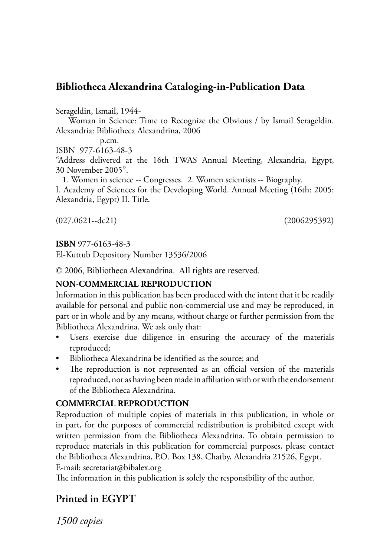#### **Bibliotheca Alexandrina Cataloging-in-Publication Data**

Serageldin, Ismail, 1944-

 Woman in Science: Time to Recognize the Obvious / by Ismail Serageldin. Alexandria: Bibliotheca Alexandrina, 2006

p.cm.

ISBN 977-6163-48-3

"Address delivered at the 16th TWAS Annual Meeting, Alexandria, Egypt, 30 November 2005".

 1. Women in science -- Congresses. 2. Women scientists -- Biography. I. Academy of Sciences for the Developing World. Annual Meeting (16th: 2005: Alexandria, Egypt) II. Title.

(027.0621--dc21) (2006295392)

**ISBN** 977-6163-48-3

El-Kuttub Depository Number 13536/2006

© 2006, Bibliotheca Alexandrina. All rights are reserved.

#### **NON-COMMERCIAL REPRODUCTION**

Information in this publication has been produced with the intent that it be readily available for personal and public non-commercial use and may be reproduced, in part or in whole and by any means, without charge or further permission from the Bibliotheca Alexandrina. We ask only that:

- Users exercise due diligence in ensuring the accuracy of the materials reproduced;
- Bibliotheca Alexandrina be identified as the source; and
- The reproduction is not represented as an official version of the materials reproduced, nor as having been made in affiliation with or with the endorsement of the Bibliotheca Alexandrina.

#### **COMMERCIAL REPRODUCTION**

Reproduction of multiple copies of materials in this publication, in whole or in part, for the purposes of commercial redistribution is prohibited except with written permission from the Bibliotheca Alexandrina. To obtain permission to reproduce materials in this publication for commercial purposes, please contact the Bibliotheca Alexandrina, P.O. Box 138, Chatby, Alexandria 21526, Egypt. E-mail: secretariat@bibalex.org

The information in this publication is solely the responsibility of the author.

#### **Printed in EGYPT**

*1500 copies*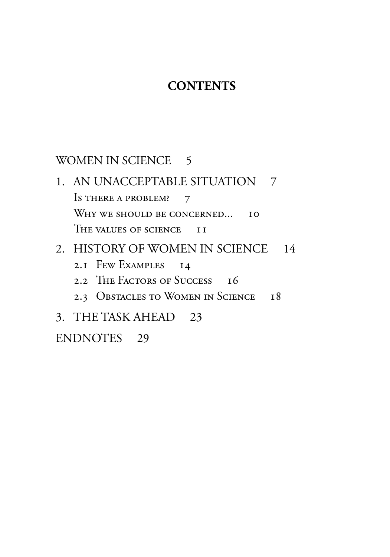### **CONTENTS**

#### [WOMEN IN SCIENCE](#page-4-0) 5

[1. AN UNACCEPTABLE SITUATION](#page-6-0) 7 Is THERE A PROBLEM? 7 [WHY WE SHOULD BE CONCERNED...](#page-9-0) 10 [THE VALUES OF SCIENCE](#page-10-0) II

#### [2. HISTORY OF WOMEN IN SCIENCE](#page-13-0) 14

- [2.1 FEW EXAMPLES](#page-13-0) 14
- [2.2 THE FACTORS OF SUCCESS](#page-15-0) 16
- [2.3 OBSTACLES TO WOMEN IN SCIENCE](#page-17-0) 18

## [3. THE TASK AHEAD](#page-22-0) 23

#### [ENDNOTES](#page-28-0) 29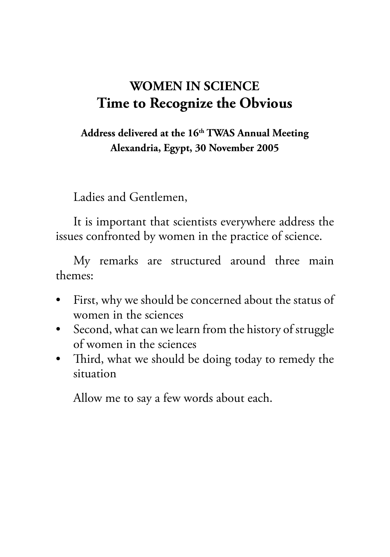## <span id="page-4-0"></span>**WOMEN IN SCIENCE Time to Recognize the Obvious**

#### **Address delivered at the 16th TWAS Annual Meeting Alexandria, Egypt, 30 November 2005**

Ladies and Gentlemen,

It is important that scientists everywhere address the issues confronted by women in the practice of science.

My remarks are structured around three main themes:

- First, why we should be concerned about the status of women in the sciences
- Second, what can we learn from the history of struggle of women in the sciences
- Third, what we should be doing today to remedy the situation

Allow me to say a few words about each.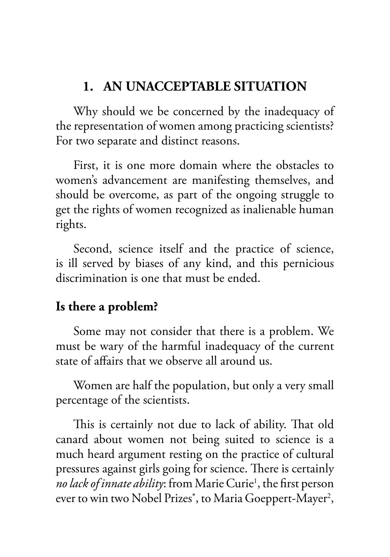### <span id="page-6-0"></span>**1. AN UNACCEPTABLE SITUATION**

Why should we be concerned by the inadequacy of the representation of women among practicing scientists? For two separate and distinct reasons.

First, it is one more domain where the obstacles to women's advancement are manifesting themselves, and should be overcome, as part of the ongoing struggle to get the rights of women recognized as inalienable human rights.

Second, science itself and the practice of science, is ill served by biases of any kind, and this pernicious discrimination is one that must be ended.

### **Is there a problem?**

Some may not consider that there is a problem. We must be wary of the harmful inadequacy of the current state of affairs that we observe all around us.

Women are half the population, but only a very small percentage of the scientists.

This is certainly not due to lack of ability. That old canard about women not being suited to science is a much heard argument resting on the practice of cultural pressures against girls going for science. There is certainly *no lack of innate ability*: from [Marie Curie](#page-28-0)<sup>1</sup>, the first person ever to win two Nobel Prizes\* , to [Maria Goeppert-Mayer](#page-28-0)<sup>2</sup> ,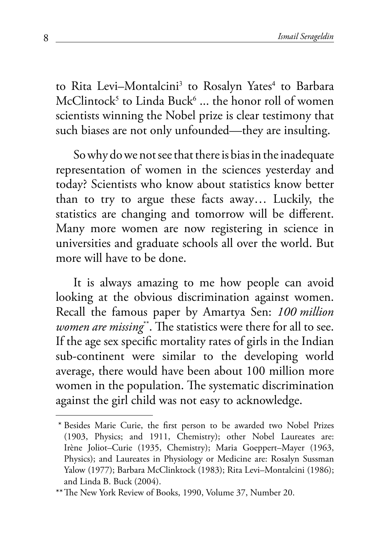<span id="page-7-0"></span>to [Rita Levi–Montalcini](#page-29-0)<sup>3</sup> to [Rosalyn Yates](#page-29-0)<sup>4</sup> to [Barbara](#page-29-0) [McClintock](#page-29-0)5 to [Linda Buck](#page-30-0)6 ... the honor roll of women scientists winning the Nobel prize is clear testimony that such biases are not only unfounded—they are insulting.

So why do we not see that there is bias in the inadequate representation of women in the sciences yesterday and today? Scientists who know about statistics know better than to try to argue these facts away… Luckily, the statistics are changing and tomorrow will be different. Many more women are now registering in science in universities and graduate schools all over the world. But more will have to be done.

It is always amazing to me how people can avoid looking at the obvious discrimination against women. Recall the famous paper by Amartya Sen: *100 million women are missing*\*\*. The statistics were there for all to see. If the age sex specific mortality rates of girls in the Indian sub-continent were similar to the developing world average, there would have been about 100 million more women in the population. The systematic discrimination against the girl child was not easy to acknowledge.

 <sup>\*</sup> Besides Marie Curie, the first person to be awarded two Nobel Prizes (1903, Physics; and 1911, Chemistry); other Nobel Laureates are: Irène Joliot–Curie (1935, Chemistry); Maria Goeppert–Mayer (1963, Physics); and Laureates in Physiology or Medicine are: Rosalyn Sussman Yalow (1977); Barbara McClinktock (1983); Rita Levi–Montalcini (1986); and Linda B. Buck (2004).

<sup>\*\*</sup> The New York Review of Books, 1990, Volume 37, Number 20.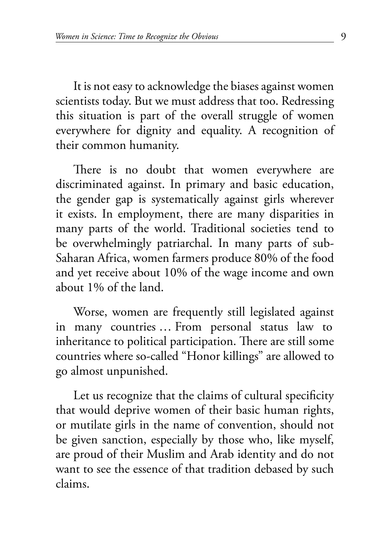It is not easy to acknowledge the biases against women scientists today. But we must address that too. Redressing this situation is part of the overall struggle of women everywhere for dignity and equality. A recognition of their common humanity.

There is no doubt that women everywhere are discriminated against. In primary and basic education, the gender gap is systematically against girls wherever it exists. In employment, there are many disparities in many parts of the world. Traditional societies tend to be overwhelmingly patriarchal. In many parts of sub-Saharan Africa, women farmers produce 80% of the food and yet receive about 10% of the wage income and own about 1% of the land.

Worse, women are frequently still legislated against in many countries … From personal status law to inheritance to political participation. There are still some countries where so-called "Honor killings" are allowed to go almost unpunished.

Let us recognize that the claims of cultural specificity that would deprive women of their basic human rights, or mutilate girls in the name of convention, should not be given sanction, especially by those who, like myself, are proud of their Muslim and Arab identity and do not want to see the essence of that tradition debased by such claims.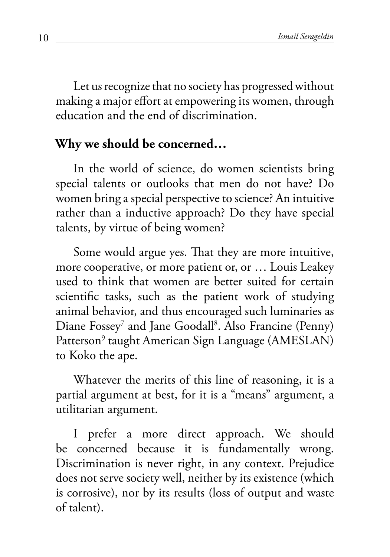<span id="page-9-0"></span>Let us recognize that no society has progressed without making a major effort at empowering its women, through education and the end of discrimination.

### **Why we should be concerned…**

In the world of science, do women scientists bring special talents or outlooks that men do not have? Do women bring a special perspective to science? An intuitive rather than a inductive approach? Do they have special talents, by virtue of being women?

Some would argue yes. That they are more intuitive, more cooperative, or more patient or, or … Louis Leakey used to think that women are better suited for certain scientific tasks, such as the patient work of studying animal behavior, and thus encouraged such luminaries as Diane Fossey<sup>7</sup> and Jane Goodall<sup>8</sup>. Also [Francine \(Penny\)](#page-31-0) [Patterson9](#page-31-0) taught American Sign Language (AMESLAN) to Koko the ape.

Whatever the merits of this line of reasoning, it is a partial argument at best, for it is a "means" argument, a utilitarian argument.

I prefer a more direct approach. We should be concerned because it is fundamentally wrong. Discrimination is never right, in any context. Prejudice does not serve society well, neither by its existence (which is corrosive), nor by its results (loss of output and waste of talent).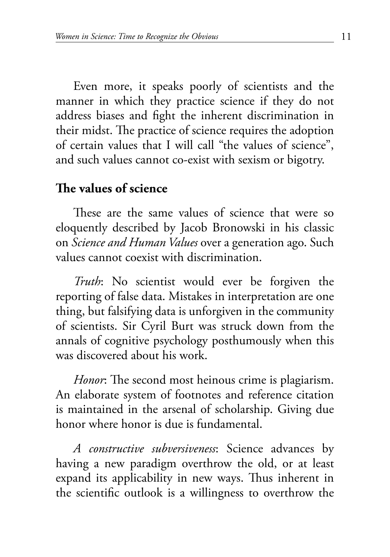<span id="page-10-0"></span>Even more, it speaks poorly of scientists and the manner in which they practice science if they do not address biases and fight the inherent discrimination in their midst. The practice of science requires the adoption of certain values that I will call "the values of science", and such values cannot co-exist with sexism or bigotry.

#### **The values of science**

These are the same values of science that were so eloquently described by Jacob Bronowski in his classic on *Science and Human Values* over a generation ago. Such values cannot coexist with discrimination.

*Truth*: No scientist would ever be forgiven the reporting of false data. Mistakes in interpretation are one thing, but falsifying data is unforgiven in the community of scientists. Sir Cyril Burt was struck down from the annals of cognitive psychology posthumously when this was discovered about his work.

*Honor*: The second most heinous crime is plagiarism. An elaborate system of footnotes and reference citation is maintained in the arsenal of scholarship. Giving due honor where honor is due is fundamental.

*A constructive subversiveness*: Science advances by having a new paradigm overthrow the old, or at least expand its applicability in new ways. Thus inherent in the scientific outlook is a willingness to overthrow the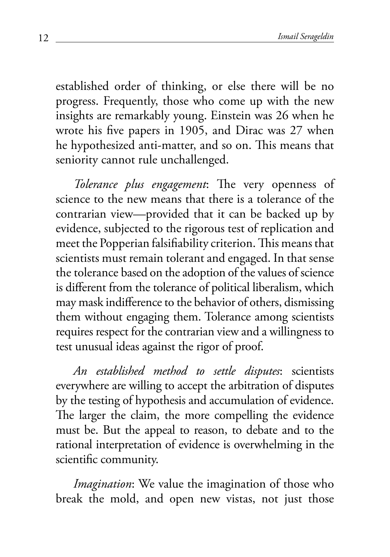established order of thinking, or else there will be no progress. Frequently, those who come up with the new insights are remarkably young. Einstein was 26 when he wrote his five papers in 1905, and Dirac was 27 when he hypothesized anti-matter, and so on. This means that seniority cannot rule unchallenged.

*Tolerance plus engagement*: The very openness of science to the new means that there is a tolerance of the contrarian view—provided that it can be backed up by evidence, subjected to the rigorous test of replication and meet the Popperian falsifiability criterion. This means that scientists must remain tolerant and engaged. In that sense the tolerance based on the adoption of the values of science is different from the tolerance of political liberalism, which may mask indifference to the behavior of others, dismissing them without engaging them. Tolerance among scientists requires respect for the contrarian view and a willingness to test unusual ideas against the rigor of proof.

*An established method to settle disputes*: scientists everywhere are willing to accept the arbitration of disputes by the testing of hypothesis and accumulation of evidence. The larger the claim, the more compelling the evidence must be. But the appeal to reason, to debate and to the rational interpretation of evidence is overwhelming in the scientific community.

*Imagination*: We value the imagination of those who break the mold, and open new vistas, not just those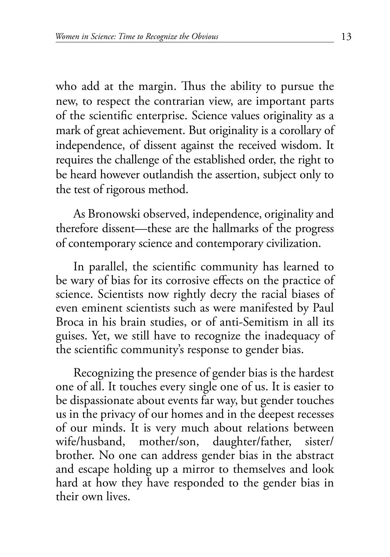who add at the margin. Thus the ability to pursue the new, to respect the contrarian view, are important parts of the scientific enterprise. Science values originality as a mark of great achievement. But originality is a corollary of independence, of dissent against the received wisdom. It requires the challenge of the established order, the right to be heard however outlandish the assertion, subject only to the test of rigorous method.

As Bronowski observed, independence, originality and therefore dissent—these are the hallmarks of the progress of contemporary science and contemporary civilization.

In parallel, the scientific community has learned to be wary of bias for its corrosive effects on the practice of science. Scientists now rightly decry the racial biases of even eminent scientists such as were manifested by Paul Broca in his brain studies, or of anti-Semitism in all its guises. Yet, we still have to recognize the inadequacy of the scientific community's response to gender bias.

Recognizing the presence of gender bias is the hardest one of all. It touches every single one of us. It is easier to be dispassionate about events far way, but gender touches us in the privacy of our homes and in the deepest recesses of our minds. It is very much about relations between wife/husband, mother/son, daughter/father, sister/ brother. No one can address gender bias in the abstract and escape holding up a mirror to themselves and look hard at how they have responded to the gender bias in their own lives.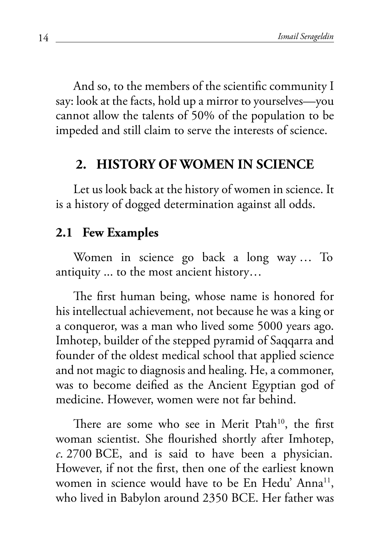<span id="page-13-0"></span>And so, to the members of the scientific community I say: look at the facts, hold up a mirror to yourselves—you cannot allow the talents of 50% of the population to be impeded and still claim to serve the interests of science.

#### **2. HISTORY OF WOMEN IN SCIENCE**

Let us look back at the history of women in science. It is a history of dogged determination against all odds.

#### **2.1 Few Examples**

Women in science go back a long way … To antiquity ... to the most ancient history…

The first human being, whose name is honored for his intellectual achievement, not because he was a king or a conqueror, was a man who lived some 5000 years ago. Imhotep, builder of the stepped pyramid of Saqqarra and founder of the oldest medical school that applied science and not magic to diagnosis and healing. He, a commoner, was to become deified as the Ancient Egyptian god of medicine. However, women were not far behind.

There are some who see in Merit Ptah<sup>10</sup>, the first woman scientist. She flourished shortly after Imhotep, *c*. 2700 BCE, and is said to have been a physician. However, if not the first, then one of the earliest known women in science would have to be En Hedu' Anna<sup>11</sup>, who lived in Babylon around 2350 BCE. Her father was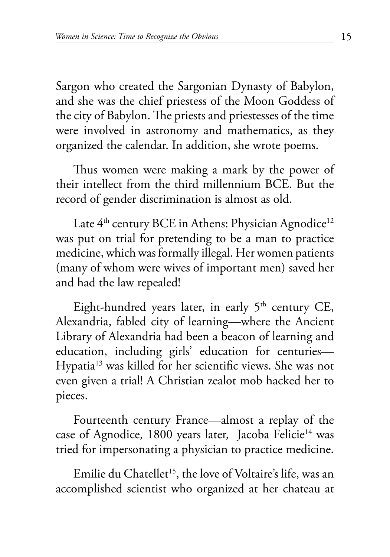<span id="page-14-0"></span>Sargon who created the Sargonian Dynasty of Babylon, and she was the chief priestess of the Moon Goddess of the city of Babylon. The priests and priestesses of the time were involved in astronomy and mathematics, as they organized the calendar. In addition, she wrote poems.

Thus women were making a mark by the power of their intellect from the third millennium BCE. But the record of gender discrimination is almost as old.

Late  $4<sup>th</sup>$  century BCE in Athens: Physician Agnodice<sup>12</sup> was put on trial for pretending to be a man to practice medicine, which was formally illegal. Her women patients (many of whom were wives of important men) saved her and had the law repealed!

Eight-hundred years later, in early  $5<sup>th</sup>$  century CE, Alexandria, fabled city of learning—where the Ancient Library of Alexandria had been a beacon of learning and education, including girls' education for centuries— [Hypatia13](#page-33-0) was killed for her scientific views. She was not even given a trial! A Christian zealot mob hacked her to pieces.

Fourteenth century France—almost a replay of the case of Agnodice, 1800 years later, Jacoba Felicie<sup>14</sup> was tried for impersonating a physician to practice medicine.

Emilie du Chatellet<sup>15</sup>, the love of Voltaire's life, was an accomplished scientist who organized at her chateau at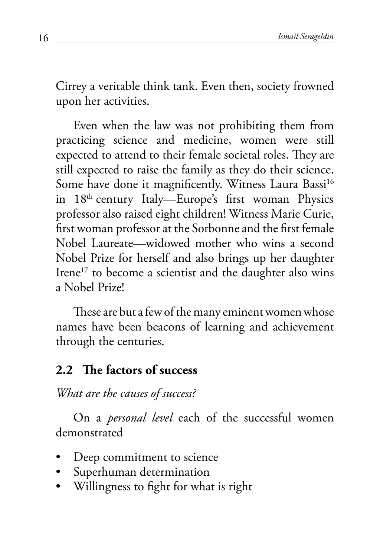<span id="page-15-0"></span>Cirrey a veritable think tank. Even then, society frowned upon her activities.

Even when the law was not prohibiting them from practicing science and medicine, women were still expected to attend to their female societal roles. They are still expected to raise the family as they do their science. Some have done it magnificently. Witness Laura Bassi<sup>16</sup> in 18th century Italy—Europe's first woman Physics professor also raised eight children! Witness Marie Curie, first woman professor at the Sorbonne and the first female Nobel Laureate—widowed mother who wins a second Nobel Prize for herself and also brings up her daughter Irene<sup>17</sup> to become a scientist and the daughter also wins a Nobel Prize!

These are but a few of the many eminent women whose names have been beacons of learning and achievement through the centuries.

### **2.2 The factors of success**

*What are the causes of success?* 

On a *personal level* each of the successful women demonstrated

- Deep commitment to science
- Superhuman determination
- Willingness to fight for what is right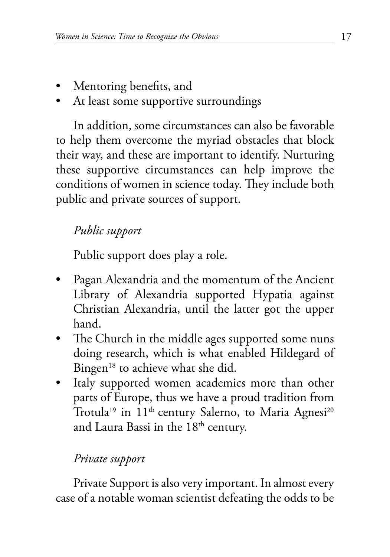- <span id="page-16-0"></span>• Mentoring benefits, and
- At least some supportive surroundings

In addition, some circumstances can also be favorable to help them overcome the myriad obstacles that block their way, and these are important to identify. Nurturing these supportive circumstances can help improve the conditions of women in science today. They include both public and private sources of support.

## *Public support*

Public support does play a role.

- Pagan Alexandria and the momentum of the Ancient Library of Alexandria supported Hypatia against Christian Alexandria, until the latter got the upper hand.
- The Church in the middle ages supported some nuns doing research, which is what enabled [Hildegard of](#page-35-0) Bingen<sup>18</sup> to achieve what she did.
- Italy supported women academics more than other parts of Europe, thus we have a proud tradition from [Trotula](#page-36-0)<sup>19</sup> in 11<sup>th</sup> century Salerno, to [Maria Agnesi](#page-36-0)<sup>20</sup> and Laura Bassi in the  $18<sup>th</sup>$  century.

### *Private support*

Private Support is also very important. In almost every case of a notable woman scientist defeating the odds to be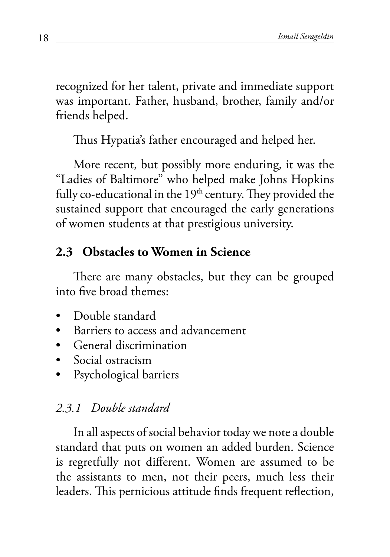<span id="page-17-0"></span>recognized for her talent, private and immediate support was important. Father, husband, brother, family and/or friends helped.

Thus Hypatia's father encouraged and helped her.

More recent, but possibly more enduring, it was the "Ladies of Baltimore" who helped make Johns Hopkins fully co-educational in the  $19<sup>th</sup>$  century. They provided the sustained support that encouraged the early generations of women students at that prestigious university.

## **2.3 Obstacles to Women in Science**

There are many obstacles, but they can be grouped into five broad themes:

- Double standard
- Barriers to access and advancement
- General discrimination
- Social ostracism
- Psychological barriers

### *2.3.1 Double standard*

In all aspects of social behavior today we note a double standard that puts on women an added burden. Science is regretfully not different. Women are assumed to be the assistants to men, not their peers, much less their leaders. This pernicious attitude finds frequent reflection,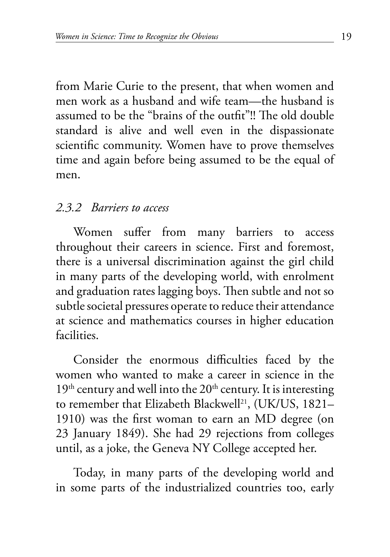<span id="page-18-0"></span>from Marie Curie to the present, that when women and men work as a husband and wife team—the husband is assumed to be the "brains of the outfit"!! The old double standard is alive and well even in the dispassionate scientific community. Women have to prove themselves time and again before being assumed to be the equal of men.

#### *2.3.2 Barriers to access*

Women suffer from many barriers to access throughout their careers in science. First and foremost, there is a universal discrimination against the girl child in many parts of the developing world, with enrolment and graduation rates lagging boys. Then subtle and not so subtle societal pressures operate to reduce their attendance at science and mathematics courses in higher education facilities.

Consider the enormous difficulties faced by the women who wanted to make a career in science in the  $19<sup>th</sup>$  century and well into the  $20<sup>th</sup>$  century. It is interesting to remember that Elizabeth Blackwell<sup>21</sup>, (UK/US, 1821– 1910) was the first woman to earn an MD degree (on 23 January 1849). She had 29 rejections from colleges until, as a joke, the Geneva NY College accepted her.

Today, in many parts of the developing world and in some parts of the industrialized countries too, early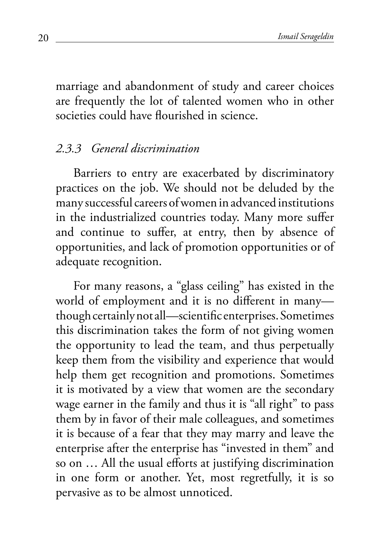marriage and abandonment of study and career choices are frequently the lot of talented women who in other societies could have flourished in science.

#### *2.3.3 General discrimination*

Barriers to entry are exacerbated by discriminatory practices on the job. We should not be deluded by the many successful careers of women in advanced institutions in the industrialized countries today. Many more suffer and continue to suffer, at entry, then by absence of opportunities, and lack of promotion opportunities or of adequate recognition.

For many reasons, a "glass ceiling" has existed in the world of employment and it is no different in many though certainly not all—scientific enterprises. Sometimes this discrimination takes the form of not giving women the opportunity to lead the team, and thus perpetually keep them from the visibility and experience that would help them get recognition and promotions. Sometimes it is motivated by a view that women are the secondary wage earner in the family and thus it is "all right" to pass them by in favor of their male colleagues, and sometimes it is because of a fear that they may marry and leave the enterprise after the enterprise has "invested in them" and so on … All the usual efforts at justifying discrimination in one form or another. Yet, most regretfully, it is so pervasive as to be almost unnoticed.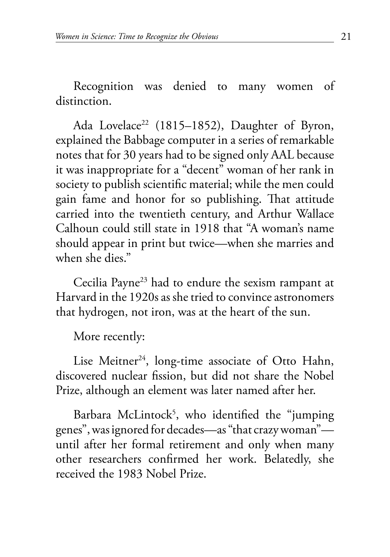<span id="page-20-0"></span>Recognition was denied to many women of distinction.

Ada Lovelace<sup>22</sup> (1815–1852), Daughter of Byron, explained the Babbage computer in a series of remarkable notes that for 30 years had to be signed only AAL because it was inappropriate for a "decent" woman of her rank in society to publish scientific material; while the men could gain fame and honor for so publishing. That attitude carried into the twentieth century, and Arthur Wallace Calhoun could still state in 1918 that "A woman's name should appear in print but twice—when she marries and when she dies."

[Cecilia Payne23](#page-37-0) had to endure the sexism rampant at Harvard in the 1920s as she tried to convince astronomers that hydrogen, not iron, was at the heart of the sun.

More recently:

Lise Meitner<sup>24</sup>, long-time associate of Otto Hahn, discovered nuclear fission, but did not share the Nobel Prize, although an element was later named after her.

Barbara McLintock<sup>5</sup>, who identified the "jumping genes", was ignored for decades—as "that crazy woman" until after her formal retirement and only when many other researchers confirmed her work. Belatedly, she received the 1983 Nobel Prize.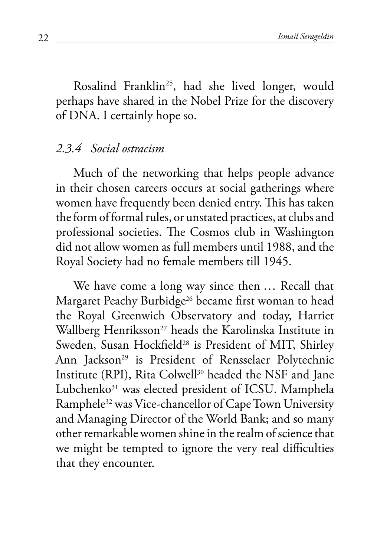<span id="page-21-0"></span>Rosalind Franklin<sup>25</sup>, had she lived longer, would perhaps have shared in the Nobel Prize for the discovery of DNA. I certainly hope so.

#### *2.3.4 Social ostracism*

Much of the networking that helps people advance in their chosen careers occurs at social gatherings where women have frequently been denied entry. This has taken the form of formal rules, or unstated practices, at clubs and professional societies. The Cosmos club in Washington did not allow women as full members until 1988, and the Royal Society had no female members till 1945.

We have come a long way since then … Recall that Margaret Peachy Burbidge<sup>26</sup> became first woman to head the Royal Greenwich Observatory and today, [Harriet](#page-39-0) Wallberg Henriksson<sup>27</sup> heads the Karolinska Institute in Sweden, Susan Hockfield<sup>28</sup> is President of MIT, [Shirley](#page-40-0) [Ann Jackson29](#page-40-0) is President of Rensselaer Polytechnic Institute (RPI), Rita Colwell<sup>30</sup> headed the NSF and [Jane](#page-41-0) [Lubchenko31](#page-41-0) was elected president of ICSU. [Mamphela](#page-41-0) [Ramphele32](#page-41-0) was Vice-chancellor of Cape Town University and Managing Director of the World Bank; and so many other remarkable women shine in the realm of science that we might be tempted to ignore the very real difficulties that they encounter.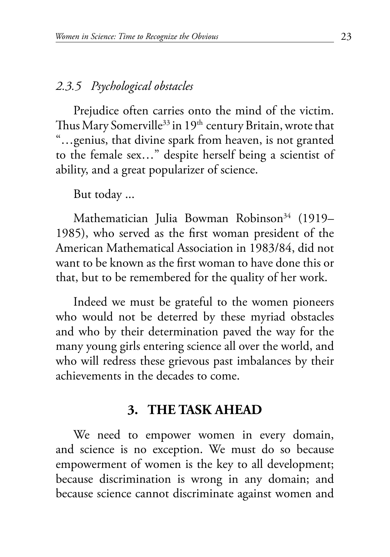#### <span id="page-22-0"></span>*2.3.5 Psychological obstacles*

Prejudice often carries onto the mind of the victim. Thus Mary Somerville $^{\rm 33}$  in 19th century Britain, wrote that "…genius, that divine spark from heaven, is not granted to the female sex…" despite herself being a scientist of ability, and a great popularizer of science.

But today ...

Mathematician Julia Bowman Robinson<sup>34</sup> (1919– 1985), who served as the first woman president of the American Mathematical Association in 1983/84, did not want to be known as the first woman to have done this or that, but to be remembered for the quality of her work.

Indeed we must be grateful to the women pioneers who would not be deterred by these myriad obstacles and who by their determination paved the way for the many young girls entering science all over the world, and who will redress these grievous past imbalances by their achievements in the decades to come.

### **3. THE TASK AHEAD**

We need to empower women in every domain, and science is no exception. We must do so because empowerment of women is the key to all development; because discrimination is wrong in any domain; and because science cannot discriminate against women and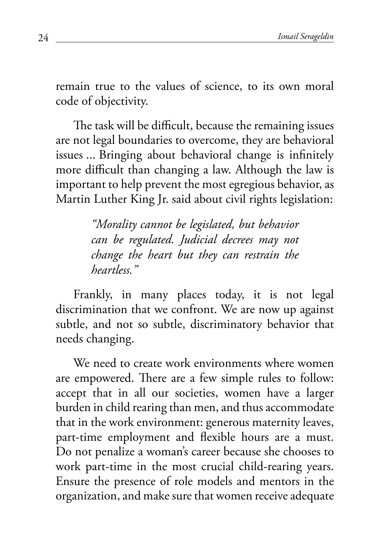remain true to the values of science, to its own moral code of objectivity.

The task will be difficult, because the remaining issues are not legal boundaries to overcome, they are behavioral issues ... Bringing about behavioral change is infinitely more difficult than changing a law. Although the law is important to help prevent the most egregious behavior, as Martin Luther King Jr. said about civil rights legislation:

> *"Morality cannot be legislated, but behavior can be regulated. Judicial decrees may not change the heart but they can restrain the heartless."*

Frankly, in many places today, it is not legal discrimination that we confront. We are now up against subtle, and not so subtle, discriminatory behavior that needs changing.

We need to create work environments where women are empowered. There are a few simple rules to follow: accept that in all our societies, women have a larger burden in child rearing than men, and thus accommodate that in the work environment: generous maternity leaves, part-time employment and flexible hours are a must. Do not penalize a woman's career because she chooses to work part-time in the most crucial child-rearing years. Ensure the presence of role models and mentors in the organization, and make sure that women receive adequate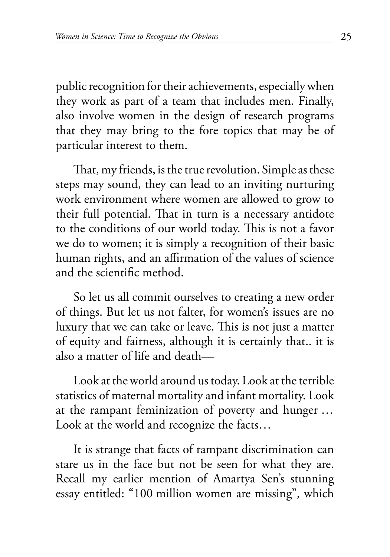public recognition for their achievements, especially when they work as part of a team that includes men. Finally, also involve women in the design of research programs that they may bring to the fore topics that may be of particular interest to them.

That, my friends, is the true revolution. Simple as these steps may sound, they can lead to an inviting nurturing work environment where women are allowed to grow to their full potential. That in turn is a necessary antidote to the conditions of our world today. This is not a favor we do to women; it is simply a recognition of their basic human rights, and an affirmation of the values of science and the scientific method.

So let us all commit ourselves to creating a new order of things. But let us not falter, for women's issues are no luxury that we can take or leave. This is not just a matter of equity and fairness, although it is certainly that.. it is also a matter of life and death—

Look at the world around us today. Look at the terrible statistics of maternal mortality and infant mortality. Look at the rampant feminization of poverty and hunger … Look at the world and recognize the facts…

It is strange that facts of rampant discrimination can stare us in the face but not be seen for what they are. Recall my earlier mention of Amartya Sen's stunning essay entitled: "100 million women are missing", which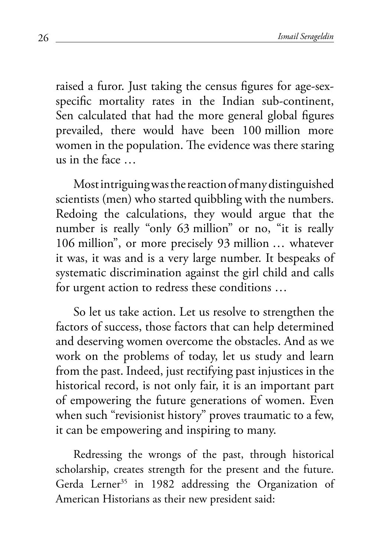<span id="page-25-0"></span>raised a furor. Just taking the census figures for age-sexspecific mortality rates in the Indian sub-continent, Sen calculated that had the more general global figures prevailed, there would have been 100 million more women in the population. The evidence was there staring us in the face …

Most intriguing was the reaction of many distinguished scientists (men) who started quibbling with the numbers. Redoing the calculations, they would argue that the number is really "only 63 million" or no, "it is really 106 million", or more precisely 93 million … whatever it was, it was and is a very large number. It bespeaks of systematic discrimination against the girl child and calls for urgent action to redress these conditions …

So let us take action. Let us resolve to strengthen the factors of success, those factors that can help determined and deserving women overcome the obstacles. And as we work on the problems of today, let us study and learn from the past. Indeed, just rectifying past injustices in the historical record, is not only fair, it is an important part of empowering the future generations of women. Even when such "revisionist history" proves traumatic to a few, it can be empowering and inspiring to many.

Redressing the wrongs of the past, through historical scholarship, creates strength for the present and the future. Gerda Lerner<sup>35</sup> in 1982 addressing the Organization of American Historians as their new president said: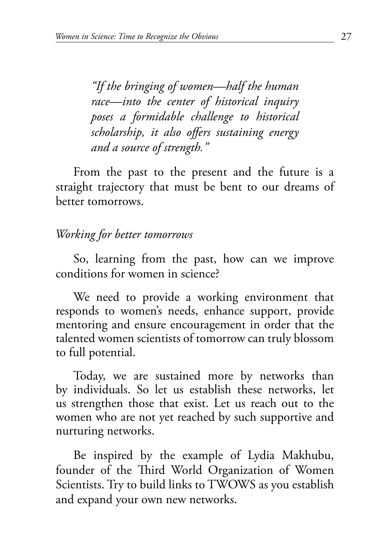*"If the bringing of women—half the human race—into the center of historical inquiry poses a formidable challenge to historical scholarship, it also offers sustaining energy and a source of strength."*

From the past to the present and the future is a straight trajectory that must be bent to our dreams of better tomorrows.

#### *Working for better tomorrows*

So, learning from the past, how can we improve conditions for women in science?

We need to provide a working environment that responds to women's needs, enhance support, provide mentoring and ensure encouragement in order that the talented women scientists of tomorrow can truly blossom to full potential.

Today, we are sustained more by networks than by individuals. So let us establish these networks, let us strengthen those that exist. Let us reach out to the women who are not yet reached by such supportive and nurturing networks.

Be inspired by the example of Lydia Makhubu, founder of the Third World Organization of Women Scientists. Try to build links to TWOWS as you establish and expand your own new networks.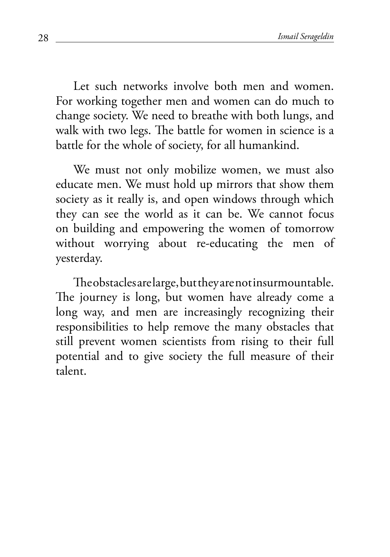Let such networks involve both men and women. For working together men and women can do much to change society. We need to breathe with both lungs, and walk with two legs. The battle for women in science is a battle for the whole of society, for all humankind.

We must not only mobilize women, we must also educate men. We must hold up mirrors that show them society as it really is, and open windows through which they can see the world as it can be. We cannot focus on building and empowering the women of tomorrow without worrying about re-educating the men of yesterday.

Theobstacles are large, but they are not insurmountable. The journey is long, but women have already come a long way, and men are increasingly recognizing their responsibilities to help remove the many obstacles that still prevent women scientists from rising to their full potential and to give society the full measure of their talent.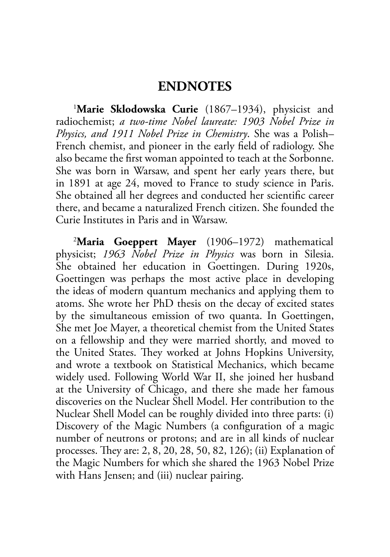#### **ENDNOTES**

<span id="page-28-0"></span>1 **[Marie Sklodowska Curie](#page-6-0)** (1867–1934), physicist and radiochemist; *a two-time Nobel laureate: 1903 Nobel Prize in Physics, and 1911 Nobel Prize in Chemistry*. She was a Polish– French chemist, and pioneer in the early field of radiology. She also became the first woman appointed to teach at the Sorbonne. She was born in Warsaw, and spent her early years there, but in 1891 at age 24, moved to France to study science in Paris. She obtained all her degrees and conducted her scientific career there, and became a naturalized French citizen. She founded the Curie Institutes in Paris and in Warsaw.

2 **[Maria Goeppert Mayer](#page-6-0)** (1906–1972) mathematical physicist; *1963 Nobel Prize in Physics* was born in Silesia. She obtained her education in Goettingen. During 1920s, Goettingen was perhaps the most active place in developing the ideas of modern quantum mechanics and applying them to atoms. She wrote her PhD thesis on the decay of excited states by the simultaneous emission of two quanta. In Goettingen, She met Joe Mayer, a theoretical chemist from the United States on a fellowship and they were married shortly, and moved to the United States. They worked at Johns Hopkins University, and wrote a textbook on Statistical Mechanics, which became widely used. Following World War II, she joined her husband at the University of Chicago, and there she made her famous discoveries on the Nuclear Shell Model. Her contribution to the Nuclear Shell Model can be roughly divided into three parts: (i) Discovery of the Magic Numbers (a configuration of a magic number of neutrons or protons; and are in all kinds of nuclear processes. They are: 2, 8, 20, 28, 50, 82, 126); (ii) Explanation of the Magic Numbers for which she shared the 1963 Nobel Prize with Hans Jensen; and (iii) nuclear pairing.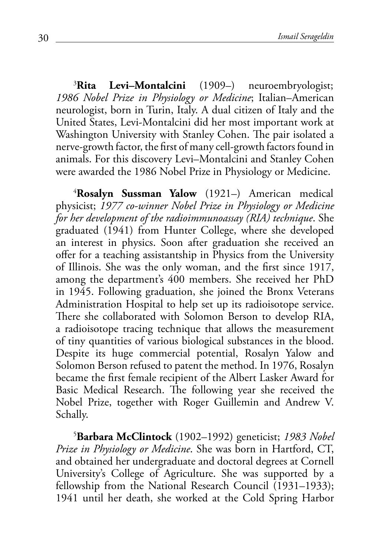<span id="page-29-0"></span>3 **[Rita Levi–Montalcini](#page-7-0)** (1909–) neuroembryologist; *1986 Nobel Prize in Physiology or Medicine*; Italian–American neurologist, born in Turin, Italy. A dual citizen of Italy and the United States, Levi-Montalcini did her most important work at Washington University with Stanley Cohen. The pair isolated a nerve-growth factor, the first of many cell-growth factors found in animals. For this discovery Levi–Montalcini and Stanley Cohen were awarded the 1986 Nobel Prize in Physiology or Medicine.

4 **[Rosalyn Sussman Yalow](#page-7-0)** (1921–) American medical physicist; *1977 co-winner Nobel Prize in Physiology or Medicine for her development of the radioimmunoassay (RIA) technique*. She graduated (1941) from Hunter College, where she developed an interest in physics. Soon after graduation she received an offer for a teaching assistantship in Physics from the University of Illinois. She was the only woman, and the first since 1917, among the department's 400 members. She received her PhD in 1945. Following graduation, she joined the Bronx Veterans Administration Hospital to help set up its radioisotope service. There she collaborated with Solomon Berson to develop RIA, a radioisotope tracing technique that allows the measurement of tiny quantities of various biological substances in the blood. Despite its huge commercial potential, Rosalyn Yalow and Solomon Berson refused to patent the method. In 1976, Rosalyn became the first female recipient of the Albert Lasker Award for Basic Medical Research. The following year she received the Nobel Prize, together with Roger Guillemin and Andrew V. Schally.

5 **[Barbara McClintock](#page-7-0)** (1902–1992) geneticist; *1983 Nobel Prize in Physiology or Medicine*. She was born in Hartford, CT, and obtained her undergraduate and doctoral degrees at Cornell University's College of Agriculture. She was supported by a fellowship from the National Research Council (1931–1933); 1941 until her death, she worked at the Cold Spring Harbor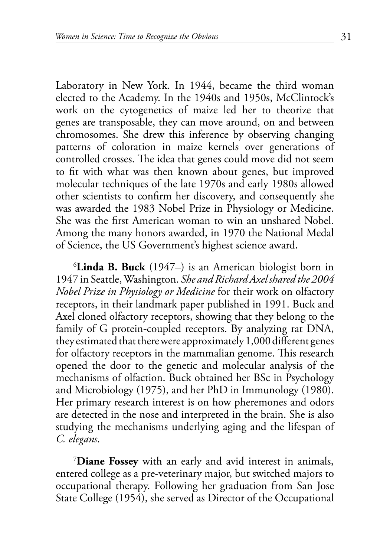<span id="page-30-0"></span>Laboratory in New York. In 1944, became the third woman elected to the Academy. In the 1940s and 1950s, McClintock's work on the cytogenetics of maize led her to theorize that genes are transposable, they can move around, on and between chromosomes. She drew this inference by observing changing patterns of coloration in maize kernels over generations of controlled crosses. The idea that genes could move did not seem to fit with what was then known about genes, but improved molecular techniques of the late 1970s and early 1980s allowed other scientists to confirm her discovery, and consequently she was awarded the 1983 Nobel Prize in Physiology or Medicine. She was the first American woman to win an unshared Nobel. Among the many honors awarded, in 1970 the National Medal of Science, the US Government's highest science award.

6 **[Linda B. Buck](#page-7-0)** (1947–) is an American biologist born in 1947 in Seattle, Washington. *She and Richard Axel shared the 2004 Nobel Prize in Physiology or Medicine* for their work on olfactory receptors, in their landmark paper published in 1991. Buck and Axel cloned olfactory receptors, showing that they belong to the family of G protein-coupled receptors. By analyzing rat DNA, they estimated that there were approximately 1,000 differentgenes for olfactory receptors in the mammalian genome. This research opened the door to the genetic and molecular analysis of the mechanisms of olfaction. Buck obtained her BSc in Psychology and Microbiology (1975), and her PhD in Immunology (1980). Her primary research interest is on how pheremones and odors are detected in the nose and interpreted in the brain. She is also studying the mechanisms underlying aging and the lifespan of *C. elegans*.

7 **[Diane Fossey](#page-9-0)** with an early and avid interest in animals, entered college as a pre-veterinary major, but switched majors to occupational therapy. Following her graduation from San Jose State College (1954), she served as Director of the Occupational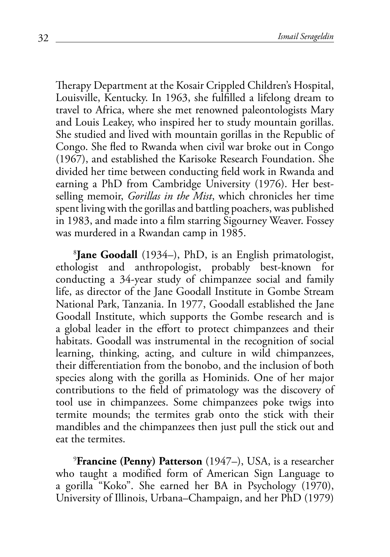<span id="page-31-0"></span>Therapy Department at the Kosair Crippled Children's Hospital, Louisville, Kentucky. In 1963, she fulfilled a lifelong dream to travel to Africa, where she met renowned paleontologists Mary and Louis Leakey, who inspired her to study mountain gorillas. She studied and lived with mountain gorillas in the Republic of Congo. She fled to Rwanda when civil war broke out in Congo (1967), and established the Karisoke Research Foundation. She divided her time between conducting field work in Rwanda and earning a PhD from Cambridge University (1976). Her bestselling memoir, *Gorillas in the Mist*, which chronicles her time spent living with the gorillas and battling poachers, was published in 1983, and made into a film starring Sigourney Weaver. Fossey was murdered in a Rwandan camp in 1985.

8 **[Jane Goodall](#page-9-0)** (1934–), PhD, is an English primatologist, ethologist and anthropologist, probably best-known for conducting a 34-year study of chimpanzee social and family life, as director of the Jane Goodall Institute in Gombe Stream National Park, Tanzania. In 1977, Goodall established the Jane Goodall Institute, which supports the Gombe research and is a global leader in the effort to protect chimpanzees and their habitats. Goodall was instrumental in the recognition of social learning, thinking, acting, and culture in wild chimpanzees, their differentiation from the bonobo, and the inclusion of both species along with the gorilla as Hominids. One of her major contributions to the field of primatology was the discovery of tool use in chimpanzees. Some chimpanzees poke twigs into termite mounds; the termites grab onto the stick with their mandibles and the chimpanzees then just pull the stick out and eat the termites.

9 **[Francine \(Penny\) Patterson](#page-9-0)** (1947–), USA, is a researcher who taught a modified form of American Sign Language to a gorilla "Koko". She earned her BA in Psychology (1970), University of Illinois, Urbana–Champaign, and her PhD (1979)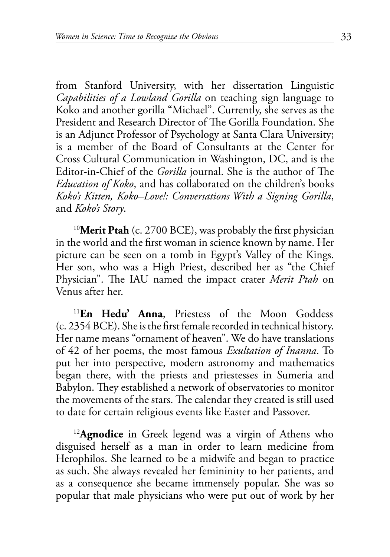<span id="page-32-0"></span>from Stanford University, with her dissertation Linguistic *Capabilities of a Lowland Gorilla* on teaching sign language to Koko and another gorilla "Michael". Currently, she serves as the President and Research Director of The Gorilla Foundation. She is an Adjunct Professor of Psychology at Santa Clara University; is a member of the Board of Consultants at the Center for Cross Cultural Communication in Washington, DC, and is the Editor-in-Chief of the *Gorilla* journal. She is the author of The *Education of Koko*, and has collaborated on the children's books *Koko's Kitten, Koko–Love!: Conversations With a Signing Gorilla*, and *Koko's Story*.

<sup>10</sup>[Merit Ptah](#page-13-0) (c. 2700 BCE), was probably the first physician in the world and the first woman in science known by name. Her picture can be seen on a tomb in Egypt's Valley of the Kings. Her son, who was a High Priest, described her as "the Chief Physician". The IAU named the impact crater *Merit Ptah* on Venus after her.

<sup>11</sup>**[En Hedu' Anna](#page-13-0)**, Priestess of the Moon Goddess (c. 2354 BCE). She is the first female recorded in technical history. Her name means "ornament of heaven". We do have translations of 42 of her poems, the most famous *Exultation of Inanna*. To put her into perspective, modern astronomy and mathematics began there, with the priests and priestesses in Sumeria and Babylon. They established a network of observatories to monitor the movements of the stars. The calendar they created is still used to date for certain religious events like Easter and Passover.

<sup>12</sup>[Agnodice](#page-14-0) in Greek legend was a virgin of Athens who disguised herself as a man in order to learn medicine from Herophilos. She learned to be a midwife and began to practice as such. She always revealed her femininity to her patients, and as a consequence she became immensely popular. She was so popular that male physicians who were put out of work by her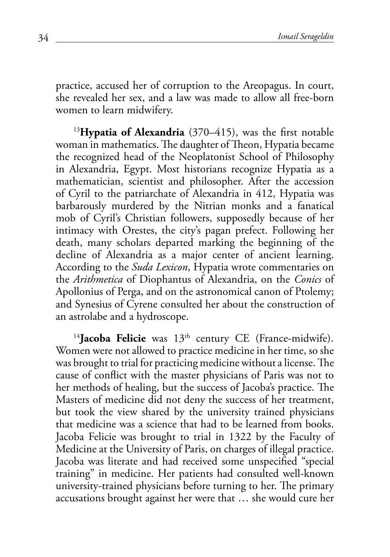<span id="page-33-0"></span>practice, accused her of corruption to the Areopagus. In court, she revealed her sex, and a law was made to allow all free-born women to learn midwifery.

<sup>13</sup>[Hypatia of Alexandria](#page-14-0) (370–415), was the first notable woman in mathematics. The daughter of Theon, Hypatia became the recognized head of the Neoplatonist School of Philosophy in Alexandria, Egypt. Most historians recognize Hypatia as a mathematician, scientist and philosopher. After the accession of Cyril to the patriarchate of Alexandria in 412, Hypatia was barbarously murdered by the Nitrian monks and a fanatical mob of Cyril's Christian followers, supposedly because of her intimacy with Orestes, the city's pagan prefect. Following her death, many scholars departed marking the beginning of the decline of Alexandria as a major center of ancient learning. According to the *Suda Lexicon*, Hypatia wrote commentaries on the *Arithmetica* of Diophantus of Alexandria, on the *Conics* of Apollonius of Perga, and on the astronomical canon of Ptolemy; and Synesius of Cyrene consulted her about the construction of an astrolabe and a hydroscope.

<sup>14</sup>[Jacoba Felicie](#page-14-0) was 13<sup>th</sup> century CE (France-midwife). Women were not allowed to practice medicine in her time, so she was brought to trial for practicing medicine without a license. The cause of conflict with the master physicians of Paris was not to her methods of healing, but the success of Jacoba's practice. The Masters of medicine did not deny the success of her treatment, but took the view shared by the university trained physicians that medicine was a science that had to be learned from books. Jacoba Felicie was brought to trial in 1322 by the Faculty of Medicine at the University of Paris, on charges of illegal practice. Jacoba was literate and had received some unspecified "special training" in medicine. Her patients had consulted well-known university-trained physicians before turning to her. The primary accusations brought against her were that … she would cure her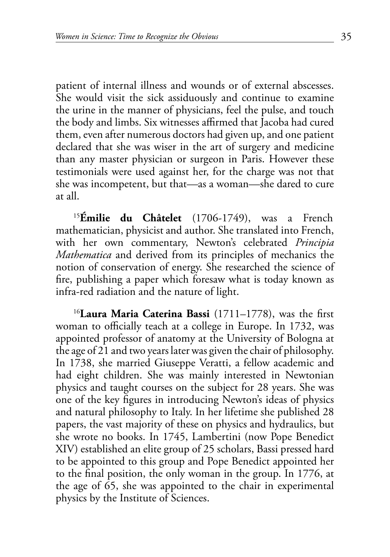<span id="page-34-0"></span>patient of internal illness and wounds or of external abscesses. She would visit the sick assiduously and continue to examine the urine in the manner of physicians, feel the pulse, and touch the body and limbs. Six witnesses affirmed that Jacoba had cured them, even after numerous doctors had given up, and one patient declared that she was wiser in the art of surgery and medicine than any master physician or surgeon in Paris. However these testimonials were used against her, for the charge was not that she was incompetent, but that—as a woman—she dared to cure at all.

<sup>15</sup>**[Émilie du Châtelet](#page-14-0)** (1706-1749), was a French mathematician, physicist and author. She translated into French, with her own commentary, Newton's celebrated *Principia Mathematica* and derived from its principles of mechanics the notion of conservation of energy. She researched the science of fire, publishing a paper which foresaw what is today known as infra-red radiation and the nature of light.

<sup>16</sup>**[Laura Maria Caterina Bassi](#page-15-0)** (1711–1778), was the first woman to officially teach at a college in Europe. In 1732, was appointed professor of anatomy at the University of Bologna at the age of 21 and two years later was given the chair of philosophy. In 1738, she married Giuseppe Veratti, a fellow academic and had eight children. She was mainly interested in Newtonian physics and taught courses on the subject for 28 years. She was one of the key figures in introducing Newton's ideas of physics and natural philosophy to Italy. In her lifetime she published 28 papers, the vast majority of these on physics and hydraulics, but she wrote no books. In 1745, Lambertini (now Pope Benedict XIV) established an elite group of 25 scholars, Bassi pressed hard to be appointed to this group and Pope Benedict appointed her to the final position, the only woman in the group. In 1776, at the age of 65, she was appointed to the chair in experimental physics by the Institute of Sciences.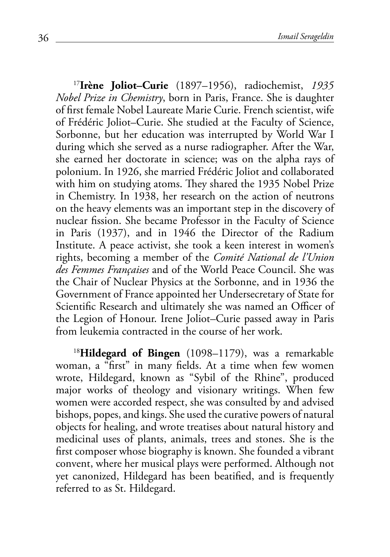<span id="page-35-0"></span><sup>17</sup>**[Irène Joliot–Curie](#page-15-0)** (1897–1956), radiochemist, *1935 Nobel Prize in Chemistry*, born in Paris, France. She is daughter of first female Nobel Laureate Marie Curie. French scientist, wife of Frédéric Joliot–Curie. She studied at the Faculty of Science, Sorbonne, but her education was interrupted by World War I during which she served as a nurse radiographer. After the War, she earned her doctorate in science; was on the alpha rays of polonium. In 1926, she married Frédéric Joliot and collaborated with him on studying atoms. They shared the 1935 Nobel Prize in Chemistry. In 1938, her research on the action of neutrons on the heavy elements was an important step in the discovery of nuclear fission. She became Professor in the Faculty of Science in Paris (1937), and in 1946 the Director of the Radium Institute. A peace activist, she took a keen interest in women's rights, becoming a member of the *Comité National de l'Union des Femmes Françaises* and of the World Peace Council. She was the Chair of Nuclear Physics at the Sorbonne, and in 1936 the Government of France appointed her Undersecretary of State for Scientific Research and ultimately she was named an Officer of the Legion of Honour. Irene Joliot–Curie passed away in Paris from leukemia contracted in the course of her work.

<sup>18</sup>**[Hildegard of Bingen](#page-16-0)** (1098–1179), was a remarkable woman, a "first" in many fields. At a time when few women wrote, Hildegard, known as "Sybil of the Rhine", produced major works of theology and visionary writings. When few women were accorded respect, she was consulted by and advised bishops, popes, and kings. She used the curative powers of natural objects for healing, and wrote treatises about natural history and medicinal uses of plants, animals, trees and stones. She is the first composer whose biography is known. She founded a vibrant convent, where her musical plays were performed. Although not yet canonized, Hildegard has been beatified, and is frequently referred to as St. Hildegard.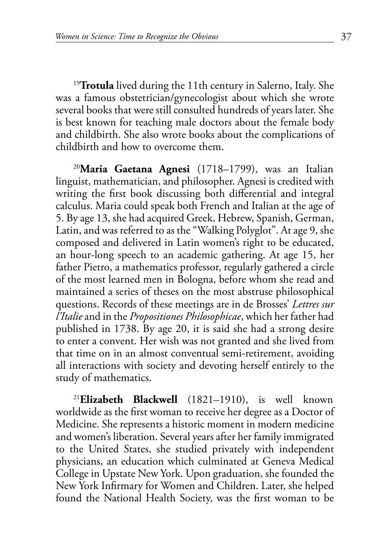<span id="page-36-0"></span><sup>19</sup>**[Trotula](#page-16-0)** lived during the 11th century in Salerno, Italy. She was a famous obstetrician/gynecologist about which she wrote several books that were still consulted hundreds of years later. She is best known for teaching male doctors about the female body and childbirth. She also wrote books about the complications of childbirth and how to overcome them.

<sup>20</sup>**[Maria Gaetana Agnesi](#page-16-0)** (1718–1799), was an Italian linguist, mathematician, and philosopher. Agnesi is credited with writing the first book discussing both differential and integral calculus. Maria could speak both French and Italian at the age of 5. By age 13, she had acquired Greek, Hebrew, Spanish, German, Latin, and was referred to as the "Walking Polyglot". At age 9, she composed and delivered in Latin women's right to be educated, an hour-long speech to an academic gathering. At age 15, her father Pietro, a mathematics professor, regularly gathered a circle of the most learned men in Bologna, before whom she read and maintained a series of theses on the most abstruse philosophical questions. Records of these meetings are in de Brosses' *Lettres sur l'Italie* and in the *Propositiones Philosophicae*, which her father had published in 1738. By age 20, it is said she had a strong desire to enter a convent. Her wish was not granted and she lived from that time on in an almost conventual semi-retirement, avoiding all interactions with society and devoting herself entirely to the study of mathematics.

<sup>21</sup>**[Elizabeth Blackwell](#page-18-0)** (1821–1910), is well known worldwide as the first woman to receive her degree as a Doctor of Medicine. She represents a historic moment in modern medicine and women's liberation. Several years after her family immigrated to the United States, she studied privately with independent physicians, an education which culminated at Geneva Medical College in Upstate New York. Upon graduation, she founded the New York Infirmary for Women and Children. Later, she helped found the National Health Society, was the first woman to be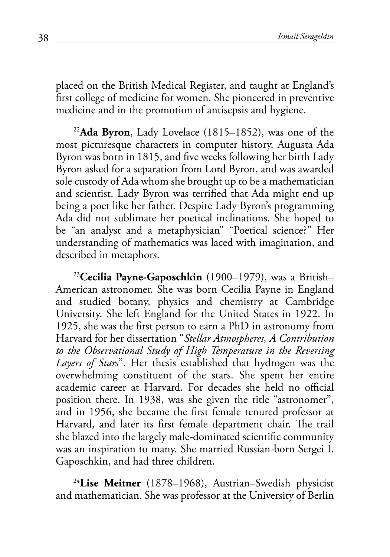<span id="page-37-0"></span>placed on the British Medical Register, and taught at England's first college of medicine for women. She pioneered in preventive medicine and in the promotion of antisepsis and hygiene.

<sup>22</sup>**[Ada Byron](#page-20-0)**, Lady Lovelace (1815–1852), was one of the most picturesque characters in computer history. Augusta Ada Byron was born in 1815, and five weeks following her birth Lady Byron asked for a separation from Lord Byron, and was awarded sole custody of Ada whom she brought up to be a mathematician and scientist. Lady Byron was terrified that Ada might end up being a poet like her father. Despite Lady Byron's programming Ada did not sublimate her poetical inclinations. She hoped to be "an analyst and a metaphysician" "Poetical science?" Her understanding of mathematics was laced with imagination, and described in metaphors.

<sup>23</sup>**[Cecilia Payne-Gaposchkin](#page-20-0)** (1900–1979), was a British– American astronomer. She was born Cecilia Payne in England and studied botany, physics and chemistry at Cambridge University. She left England for the United States in 1922. In 1925, she was the first person to earn a PhD in astronomy from Harvard for her dissertation "*Stellar Atmospheres, A Contribution to the Observational Study of High Temperature in the Reversing Layers of Stars*". Her thesis established that hydrogen was the overwhelming constituent of the stars. She spent her entire academic career at Harvard. For decades she held no official position there. In 1938, was she given the title "astronomer", and in 1956, she became the first female tenured professor at Harvard, and later its first female department chair. The trail she blazed into the largely male-dominated scientific community was an inspiration to many. She married Russian-born Sergei I. Gaposchkin, and had three children.

<sup>24</sup>**[Lise Meitner](#page-20-0)** (1878–1968), Austrian–Swedish physicist and mathematician. She was professor at the University of Berlin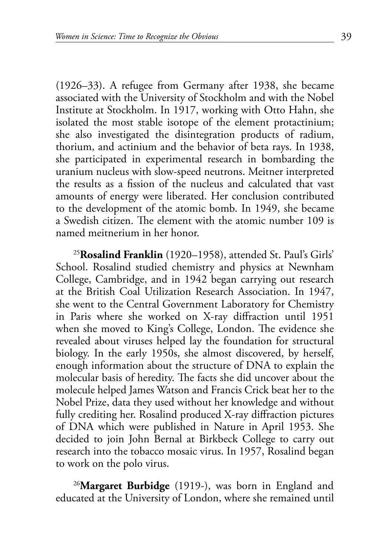<span id="page-38-0"></span>(1926–33). A refugee from Germany after 1938, she became associated with the University of Stockholm and with the Nobel Institute at Stockholm. In 1917, working with Otto Hahn, she isolated the most stable isotope of the element protactinium; she also investigated the disintegration products of radium, thorium, and actinium and the behavior of beta rays. In 1938, she participated in experimental research in bombarding the uranium nucleus with slow-speed neutrons. Meitner interpreted the results as a fission of the nucleus and calculated that vast amounts of energy were liberated. Her conclusion contributed to the development of the atomic bomb. In 1949, she became a Swedish citizen. The element with the atomic number 109 is named meitnerium in her honor.

<sup>25</sup>**[Rosalind Franklin](#page-21-0)** (1920–1958), attended St. Paul's Girls' School. Rosalind studied chemistry and physics at Newnham College, Cambridge, and in 1942 began carrying out research at the British Coal Utilization Research Association. In 1947, she went to the Central Government Laboratory for Chemistry in Paris where she worked on X-ray diffraction until 1951 when she moved to King's College, London. The evidence she revealed about viruses helped lay the foundation for structural biology. In the early 1950s, she almost discovered, by herself, enough information about the structure of DNA to explain the molecular basis of heredity. The facts she did uncover about the molecule helped James Watson and Francis Crick beat her to the Nobel Prize, data they used without her knowledge and without fully crediting her. Rosalind produced X-ray diffraction pictures of DNA which were published in Nature in April 1953. She decided to join John Bernal at Birkbeck College to carry out research into the tobacco mosaic virus. In 1957, Rosalind began to work on the polo virus.

<sup>26</sup>**[Margaret Burbidge](#page-21-0)** (1919-), was born in England and educated at the University of London, where she remained until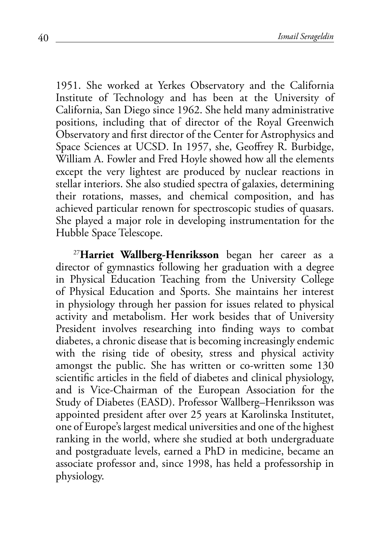<span id="page-39-0"></span>1951. She worked at Yerkes Observatory and the California Institute of Technology and has been at the University of California, San Diego since 1962. She held many administrative positions, including that of director of the Royal Greenwich Observatory and first director of the Center for Astrophysics and Space Sciences at UCSD. In 1957, she, Geoffrey R. Burbidge, William A. Fowler and Fred Hoyle showed how all the elements except the very lightest are produced by nuclear reactions in stellar interiors. She also studied spectra of galaxies, determining their rotations, masses, and chemical composition, and has achieved particular renown for spectroscopic studies of quasars. She played a major role in developing instrumentation for the Hubble Space Telescope.

<sup>27</sup>**[Harriet Wallberg-Henriksson](#page-21-0)** began her career as a director of gymnastics following her graduation with a degree in Physical Education Teaching from the University College of Physical Education and Sports. She maintains her interest in physiology through her passion for issues related to physical activity and metabolism. Her work besides that of University President involves researching into finding ways to combat diabetes, a chronic disease that is becoming increasingly endemic with the rising tide of obesity, stress and physical activity amongst the public. She has written or co-written some 130 scientific articles in the field of diabetes and clinical physiology, and is Vice-Chairman of the European Association for the Study of Diabetes (EASD). Professor Wallberg–Henriksson was appointed president after over 25 years at Karolinska Institutet, one of Europe's largest medical universities and one of the highest ranking in the world, where she studied at both undergraduate and postgraduate levels, earned a PhD in medicine, became an associate professor and, since 1998, has held a professorship in physiology.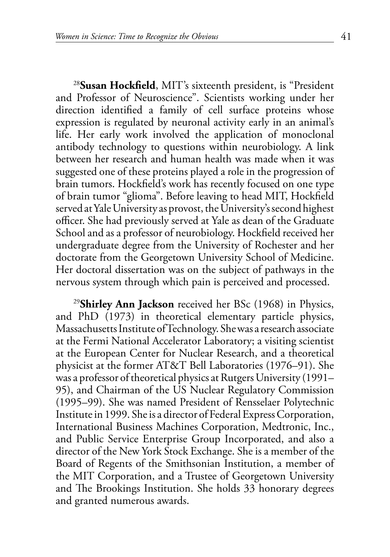<span id="page-40-0"></span><sup>28</sup>**[Susan Hockfield](#page-21-0)**, MIT's sixteenth president, is "President and Professor of Neuroscience". Scientists working under her direction identified a family of cell surface proteins whose expression is regulated by neuronal activity early in an animal's life. Her early work involved the application of monoclonal antibody technology to questions within neurobiology. A link between her research and human health was made when it was suggested one of these proteins played a role in the progression of brain tumors. Hockfield's work has recently focused on one type of brain tumor "glioma". Before leaving to head MIT, Hockfield served at Yale University as provost, the University's second highest officer. She had previously served at Yale as dean of the Graduate School and as a professor of neurobiology. Hockfield received her undergraduate degree from the University of Rochester and her doctorate from the Georgetown University School of Medicine. Her doctoral dissertation was on the subject of pathways in the nervous system through which pain is perceived and processed.

<sup>29</sup>**[Shirley Ann Jackson](#page-21-0)** received her BSc (1968) in Physics, and PhD (1973) in theoretical elementary particle physics, Massachusetts Institute of Technology. She was a research associate at the Fermi National Accelerator Laboratory; a visiting scientist at the European Center for Nuclear Research, and a theoretical physicist at the former AT&T Bell Laboratories (1976–91). She was a professor of theoretical physics at Rutgers University (1991– 95), and Chairman of the US Nuclear Regulatory Commission (1995–99). She was named President of Rensselaer Polytechnic Institute in 1999. She is a director of Federal Express Corporation, International Business Machines Corporation, Medtronic, Inc., and Public Service Enterprise Group Incorporated, and also a director of the New York Stock Exchange. She is a member of the Board of Regents of the Smithsonian Institution, a member of the MIT Corporation, and a Trustee of Georgetown University and The Brookings Institution. She holds 33 honorary degrees and granted numerous awards.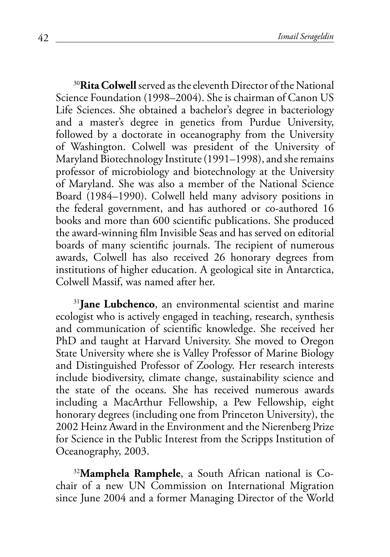<span id="page-41-0"></span><sup>30</sup>**[Rita Colwell](#page-21-0)** served as the eleventh Director of the National Science Foundation (1998–2004). She is chairman of Canon US Life Sciences. She obtained a bachelor's degree in bacteriology and a master's degree in genetics from Purdue University, followed by a doctorate in oceanography from the University of Washington. Colwell was president of the University of Maryland Biotechnology Institute (1991–1998), and she remains professor of microbiology and biotechnology at the University of Maryland. She was also a member of the National Science Board (1984–1990). Colwell held many advisory positions in the federal government, and has authored or co-authored 16 books and more than 600 scientific publications. She produced the award-winning film Invisible Seas and has served on editorial boards of many scientific journals. The recipient of numerous awards, Colwell has also received 26 honorary degrees from institutions of higher education. A geological site in Antarctica, Colwell Massif, was named after her.

<sup>31</sup>[Jane Lubchenco](#page-21-0), an environmental scientist and marine ecologist who is actively engaged in teaching, research, synthesis and communication of scientific knowledge. She received her PhD and taught at Harvard University. She moved to Oregon State University where she is Valley Professor of Marine Biology and Distinguished Professor of Zoology. Her research interests include biodiversity, climate change, sustainability science and the state of the oceans. She has received numerous awards including a MacArthur Fellowship, a Pew Fellowship, eight honorary degrees (including one from Princeton University), the 2002 Heinz Award in the Environment and the Nierenberg Prize for Science in the Public Interest from the Scripps Institution of Oceanography, 2003.

32**[Mamphela Ramphele](#page-21-0)**, a South African national is Cochair of a new UN Commission on International Migration since June 2004 and a former Managing Director of the World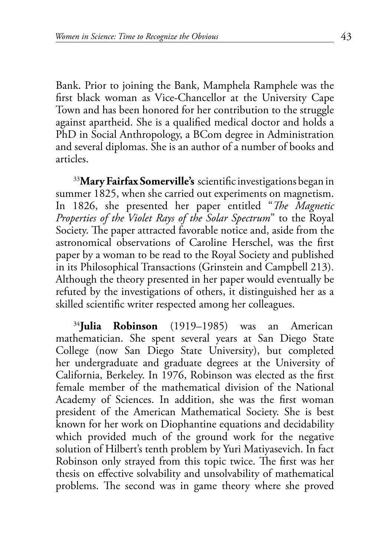<span id="page-42-0"></span>Bank. Prior to joining the Bank, Mamphela Ramphele was the first black woman as Vice-Chancellor at the University Cape Town and has been honored for her contribution to the struggle against apartheid. She is a qualified medical doctor and holds a PhD in Social Anthropology, a BCom degree in Administration and several diplomas. She is an author of a number of books and articles.

<sup>33</sup>**[Mary Fairfax Somerville's](#page-22-0)** scientific investigations began in summer 1825, when she carried out experiments on magnetism. In 1826, she presented her paper entitled "*The Magnetic Properties of the Violet Rays of the Solar Spectrum*" to the Royal Society. The paper attracted favorable notice and, aside from the astronomical observations of Caroline Herschel, was the first paper by a woman to be read to the Royal Society and published in its Philosophical Transactions (Grinstein and Campbell 213). Although the theory presented in her paper would eventually be refuted by the investigations of others, it distinguished her as a skilled scientific writer respected among her colleagues.

<sup>34</sup>**[Julia Robinson](#page-22-0)** (1919–1985) was an American mathematician. She spent several years at San Diego State College (now San Diego State University), but completed her undergraduate and graduate degrees at the University of California, Berkeley. In 1976, Robinson was elected as the first female member of the mathematical division of the National Academy of Sciences. In addition, she was the first woman president of the American Mathematical Society. She is best known for her work on Diophantine equations and decidability which provided much of the ground work for the negative solution of Hilbert's tenth problem by Yuri Matiyasevich. In fact Robinson only strayed from this topic twice. The first was her thesis on effective solvability and unsolvability of mathematical problems. The second was in game theory where she proved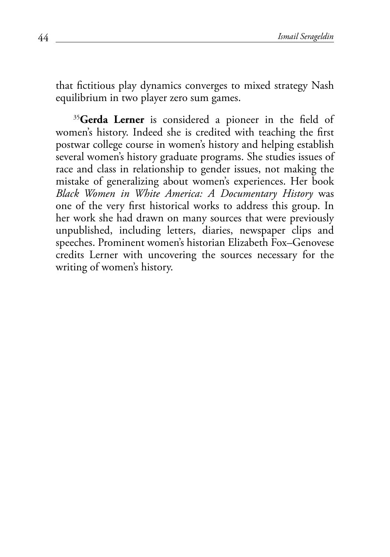<span id="page-43-0"></span>that fictitious play dynamics converges to mixed strategy Nash equilibrium in two player zero sum games.

<sup>35</sup>[Gerda Lerner](#page-25-0) is considered a pioneer in the field of women's history. Indeed she is credited with teaching the first postwar college course in women's history and helping establish several women's history graduate programs. She studies issues of race and class in relationship to gender issues, not making the mistake of generalizing about women's experiences. Her book *Black Women in White America: A Documentary History* was one of the very first historical works to address this group. In her work she had drawn on many sources that were previously unpublished, including letters, diaries, newspaper clips and speeches. Prominent women's historian Elizabeth Fox–Genovese credits Lerner with uncovering the sources necessary for the writing of women's history.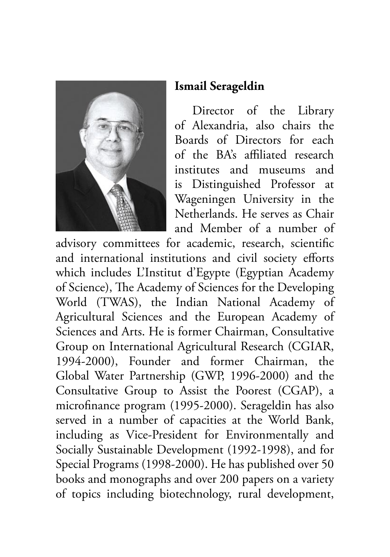

## **Ismail Serageldin**

Director of the Library of Alexandria, also chairs the Boards of Directors for each of the BA's affiliated research institutes and museums and is Distinguished Professor at Wageningen University in the Netherlands. He serves as Chair and Member of a number of

advisory committees for academic, research, scientific and international institutions and civil society efforts which includes L'Institut d'Egypte (Egyptian Academy of Science), The Academy of Sciences for the Developing World (TWAS), the Indian National Academy of Agricultural Sciences and the European Academy of Sciences and Arts. He is former Chairman, Consultative Group on International Agricultural Research (CGIAR, 1994-2000), Founder and former Chairman, the Global Water Partnership (GWP, 1996-2000) and the Consultative Group to Assist the Poorest (CGAP), a microfinance program (1995-2000). Serageldin has also served in a number of capacities at the World Bank, including as Vice-President for Environmentally and Socially Sustainable Development (1992-1998), and for Special Programs (1998-2000). He has published over 50 books and monographs and over 200 papers on a variety of topics including biotechnology, rural development,